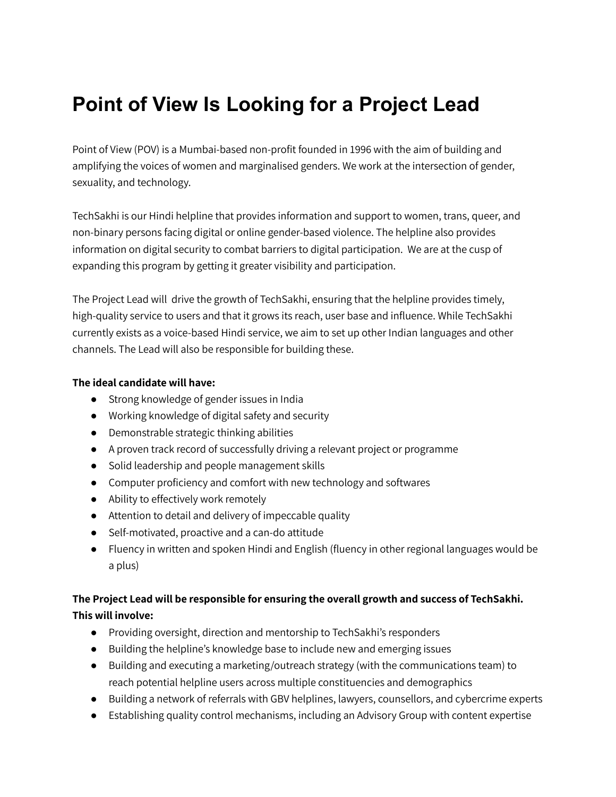## **Point of View Is Looking for a Project Lead**

Point of View (POV) is a Mumbai-based non-profit founded in 1996 with the aim of building and amplifying the voices of women and marginalised genders. We work at the intersection of gender, sexuality, and technology.

TechSakhi is our Hindi helpline that provides information and support to women, trans, queer, and non-binary persons facing digital or online gender-based violence. The helpline also provides information on digital security to combat barriers to digital participation. We are at the cusp of expanding this program by getting it greater visibility and participation.

The Project Lead will drive the growth of TechSakhi, ensuring that the helpline provides timely, high-quality service to users and that it grows its reach, user base and influence. While TechSakhi currently exists as a voice-based Hindi service, we aim to set up other Indian languages and other channels. The Lead will also be responsible for building these.

## **The ideal candidate will have:**

- Strong knowledge of gender issues in India
- Working knowledge of digital safety and security
- Demonstrable strategic thinking abilities
- A proven track record of successfully driving a relevant project or programme
- Solid leadership and people management skills
- Computer proficiency and comfort with new technology and softwares
- Ability to effectively work remotely
- Attention to detail and delivery of impeccable quality
- Self-motivated, proactive and a can-do attitude
- Fluency in written and spoken Hindi and English (fluency in other regional languages would be a plus)

## **The Project Lead will be responsible for ensuring the overall growth and success of TechSakhi. This will involve:**

- Providing oversight, direction and mentorship to TechSakhi's responders
- Building the helpline's knowledge base to include new and emerging issues
- Building and executing a marketing/outreach strategy (with the communications team) to reach potential helpline users across multiple constituencies and demographics
- Building a network of referrals with GBV helplines, lawyers, counsellors, and cybercrime experts
- Establishing quality control mechanisms, including an Advisory Group with content expertise